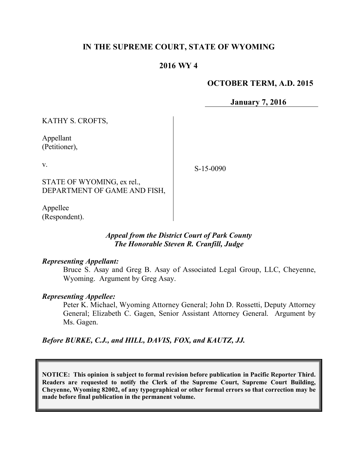# **IN THE SUPREME COURT, STATE OF WYOMING**

## **2016 WY 4**

#### **OCTOBER TERM, A.D. 2015**

**January 7, 2016**

KATHY S. CROFTS,

Appellant (Petitioner),

v.

S-15-0090

STATE OF WYOMING, ex rel., DEPARTMENT OF GAME AND FISH,

Appellee (Respondent).

#### *Appeal from the District Court of Park County The Honorable Steven R. Cranfill, Judge*

#### *Representing Appellant:*

Bruce S. Asay and Greg B. Asay of Associated Legal Group, LLC, Cheyenne, Wyoming. Argument by Greg Asay.

#### *Representing Appellee:*

Peter K. Michael, Wyoming Attorney General; John D. Rossetti, Deputy Attorney General; Elizabeth C. Gagen, Senior Assistant Attorney General. Argument by Ms. Gagen.

*Before BURKE, C.J., and HILL, DAVIS, FOX, and KAUTZ, JJ.*

**NOTICE: This opinion is subject to formal revision before publication in Pacific Reporter Third. Readers are requested to notify the Clerk of the Supreme Court, Supreme Court Building, Cheyenne, Wyoming 82002, of any typographical or other formal errors so that correction may be made before final publication in the permanent volume.**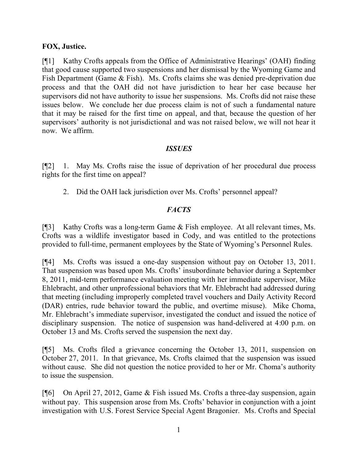### **FOX, Justice.**

[¶1] Kathy Crofts appeals from the Office of Administrative Hearings' (OAH) finding that good cause supported two suspensions and her dismissal by the Wyoming Game and Fish Department (Game & Fish). Ms. Crofts claims she was denied pre-deprivation due process and that the OAH did not have jurisdiction to hear her case because her supervisors did not have authority to issue her suspensions. Ms. Crofts did not raise these issues below. We conclude her due process claim is not of such a fundamental nature that it may be raised for the first time on appeal, and that, because the question of her supervisors' authority is not jurisdictional and was not raised below, we will not hear it now. We affirm.

## *ISSUES*

[¶2] 1. May Ms. Crofts raise the issue of deprivation of her procedural due process rights for the first time on appeal?

2. Did the OAH lack jurisdiction over Ms. Crofts' personnel appeal?

# *FACTS*

[¶3] Kathy Crofts was a long-term Game & Fish employee. At all relevant times, Ms. Crofts was a wildlife investigator based in Cody, and was entitled to the protections provided to full-time, permanent employees by the State of Wyoming's Personnel Rules.

[¶4] Ms. Crofts was issued a one-day suspension without pay on October 13, 2011. That suspension was based upon Ms. Crofts' insubordinate behavior during a September 8, 2011, mid-term performance evaluation meeting with her immediate supervisor, Mike Ehlebracht, and other unprofessional behaviors that Mr. Ehlebracht had addressed during that meeting (including improperly completed travel vouchers and Daily Activity Record (DAR) entries, rude behavior toward the public, and overtime misuse). Mike Choma, Mr. Ehlebracht's immediate supervisor, investigated the conduct and issued the notice of disciplinary suspension. The notice of suspension was hand-delivered at 4:00 p.m. on October 13 and Ms. Crofts served the suspension the next day.

[¶5] Ms. Crofts filed a grievance concerning the October 13, 2011, suspension on October 27, 2011. In that grievance, Ms. Crofts claimed that the suspension was issued without cause. She did not question the notice provided to her or Mr. Choma's authority to issue the suspension.

[¶6] On April 27, 2012, Game & Fish issued Ms. Crofts a three-day suspension, again without pay. This suspension arose from Ms. Crofts' behavior in conjunction with a joint investigation with U.S. Forest Service Special Agent Bragonier. Ms. Crofts and Special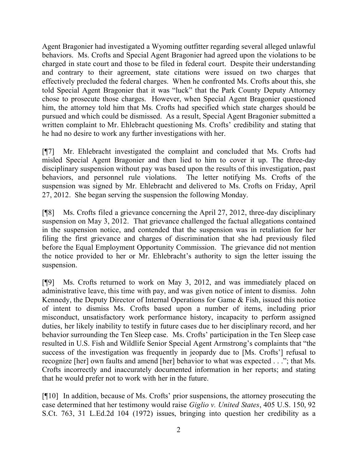Agent Bragonier had investigated a Wyoming outfitter regarding several alleged unlawful behaviors. Ms. Crofts and Special Agent Bragonier had agreed upon the violations to be charged in state court and those to be filed in federal court. Despite their understanding and contrary to their agreement, state citations were issued on two charges that effectively precluded the federal charges. When he confronted Ms. Crofts about this, she told Special Agent Bragonier that it was "luck" that the Park County Deputy Attorney chose to prosecute those charges. However, when Special Agent Bragonier questioned him, the attorney told him that Ms. Crofts had specified which state charges should be pursued and which could be dismissed. As a result, Special Agent Bragonier submitted a written complaint to Mr. Ehlebracht questioning Ms. Crofts' credibility and stating that he had no desire to work any further investigations with her.

[¶7] Mr. Ehlebracht investigated the complaint and concluded that Ms. Crofts had misled Special Agent Bragonier and then lied to him to cover it up. The three-day disciplinary suspension without pay was based upon the results of this investigation, past behaviors, and personnel rule violations. The letter notifying Ms. Crofts of the suspension was signed by Mr. Ehlebracht and delivered to Ms. Crofts on Friday, April 27, 2012. She began serving the suspension the following Monday.

[¶8] Ms. Crofts filed a grievance concerning the April 27, 2012, three-day disciplinary suspension on May 3, 2012. That grievance challenged the factual allegations contained in the suspension notice, and contended that the suspension was in retaliation for her filing the first grievance and charges of discrimination that she had previously filed before the Equal Employment Opportunity Commission. The grievance did not mention the notice provided to her or Mr. Ehlebracht's authority to sign the letter issuing the suspension.

[¶9] Ms. Crofts returned to work on May 3, 2012, and was immediately placed on administrative leave, this time with pay, and was given notice of intent to dismiss. John Kennedy, the Deputy Director of Internal Operations for Game & Fish, issued this notice of intent to dismiss Ms. Crofts based upon a number of items, including prior misconduct, unsatisfactory work performance history, incapacity to perform assigned duties, her likely inability to testify in future cases due to her disciplinary record, and her behavior surrounding the Ten Sleep case. Ms. Crofts' participation in the Ten Sleep case resulted in U.S. Fish and Wildlife Senior Special Agent Armstrong's complaints that "the success of the investigation was frequently in jeopardy due to [Ms. Crofts'] refusal to recognize [her] own faults and amend [her] behavior to what was expected . . ."; that Ms. Crofts incorrectly and inaccurately documented information in her reports; and stating that he would prefer not to work with her in the future.

[¶10] In addition, because of Ms. Crofts' prior suspensions, the attorney prosecuting the case determined that her testimony would raise *Giglio v. United States*, 405 U.S. 150, 92 S.Ct. 763, 31 L.Ed.2d 104 (1972) issues, bringing into question her credibility as a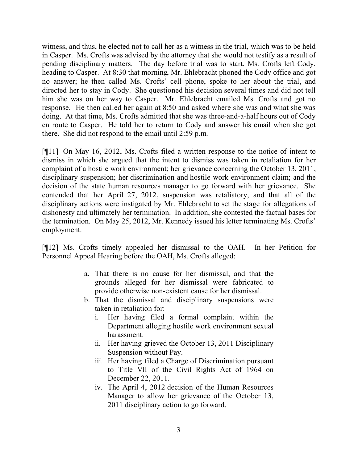witness, and thus, he elected not to call her as a witness in the trial, which was to be held in Casper. Ms. Crofts was advised by the attorney that she would not testify as a result of pending disciplinary matters. The day before trial was to start, Ms. Crofts left Cody, heading to Casper. At 8:30 that morning, Mr. Ehlebracht phoned the Cody office and got no answer; he then called Ms. Crofts' cell phone, spoke to her about the trial, and directed her to stay in Cody. She questioned his decision several times and did not tell him she was on her way to Casper. Mr. Ehlebracht emailed Ms. Crofts and got no response. He then called her again at 8:50 and asked where she was and what she was doing. At that time, Ms. Crofts admitted that she was three-and-a-half hours out of Cody en route to Casper. He told her to return to Cody and answer his email when she got there. She did not respond to the email until 2:59 p.m.

[¶11] On May 16, 2012, Ms. Crofts filed a written response to the notice of intent to dismiss in which she argued that the intent to dismiss was taken in retaliation for her complaint of a hostile work environment; her grievance concerning the October 13, 2011, disciplinary suspension; her discrimination and hostile work environment claim; and the decision of the state human resources manager to go forward with her grievance. She contended that her April 27, 2012, suspension was retaliatory, and that all of the disciplinary actions were instigated by Mr. Ehlebracht to set the stage for allegations of dishonesty and ultimately her termination. In addition, she contested the factual bases for the termination. On May 25, 2012, Mr. Kennedy issued his letter terminating Ms. Crofts' employment.

[¶12] Ms. Crofts timely appealed her dismissal to the OAH. In her Petition for Personnel Appeal Hearing before the OAH, Ms. Crofts alleged:

- a. That there is no cause for her dismissal, and that the grounds alleged for her dismissal were fabricated to provide otherwise non-existent cause for her dismissal.
- b. That the dismissal and disciplinary suspensions were taken in retaliation for:
	- i. Her having filed a formal complaint within the Department alleging hostile work environment sexual harassment.
	- ii. Her having grieved the October 13, 2011 Disciplinary Suspension without Pay.
	- iii. Her having filed a Charge of Discrimination pursuant to Title VII of the Civil Rights Act of 1964 on December 22, 2011.
	- iv. The April 4, 2012 decision of the Human Resources Manager to allow her grievance of the October 13, 2011 disciplinary action to go forward.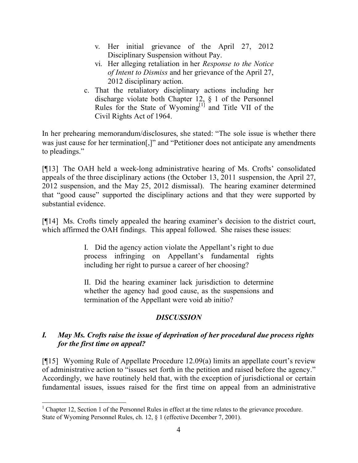- v. Her initial grievance of the April 27, 2012 Disciplinary Suspension without Pay.
- vi. Her alleging retaliation in her *Response to the Notice of Intent to Dismiss* and her grievance of the April 27, 2012 disciplinary action.
- c. That the retaliatory disciplinary actions including her discharge violate both Chapter 12, § 1 of the Personnel Rules for the State of Wyoming $[1]$  and Title VII of the Civil Rights Act of 1964.

In her prehearing memorandum/disclosures, she stated: "The sole issue is whether there was just cause for her termination<sup>[1]</sup> and "Petitioner does not anticipate any amendments to pleadings."

[¶13] The OAH held a week-long administrative hearing of Ms. Crofts' consolidated appeals of the three disciplinary actions (the October 13, 2011 suspension, the April 27, 2012 suspension, and the May 25, 2012 dismissal). The hearing examiner determined that "good cause" supported the disciplinary actions and that they were supported by substantial evidence.

[¶14] Ms. Crofts timely appealed the hearing examiner's decision to the district court, which affirmed the OAH findings. This appeal followed. She raises these issues:

> I. Did the agency action violate the Appellant's right to due process infringing on Appellant's fundamental rights including her right to pursue a career of her choosing?

> II. Did the hearing examiner lack jurisdiction to determine whether the agency had good cause, as the suspensions and termination of the Appellant were void ab initio?

# *DISCUSSION*

# *I. May Ms. Crofts raise the issue of deprivation of her procedural due process rights for the first time on appeal?*

[¶15] Wyoming Rule of Appellate Procedure 12.09(a) limits an appellate court's review of administrative action to "issues set forth in the petition and raised before the agency." Accordingly, we have routinely held that, with the exception of jurisdictional or certain fundamental issues, issues raised for the first time on appeal from an administrative

 $\overline{a}$ 

<sup>&</sup>lt;sup>1</sup> Chapter 12, Section 1 of the Personnel Rules in effect at the time relates to the grievance procedure. State of Wyoming Personnel Rules, ch. 12, § 1 (effective December 7, 2001).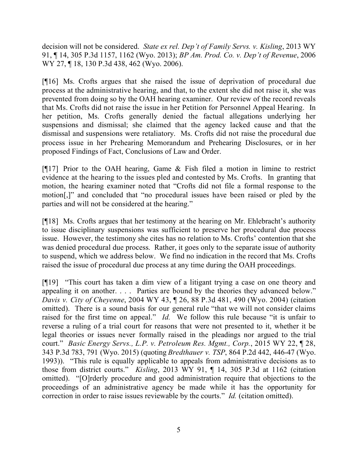decision will not be considered. *State ex rel. Dep't of Family Servs. v. Kisling*, 2013 WY 91, ¶ 14, 305 P.3d 1157, 1162 (Wyo. 2013); *BP Am. Prod. Co. v. Dep't of Revenue*, 2006 WY 27, ¶ 18, 130 P.3d 438, 462 (Wyo. 2006).

[¶16] Ms. Crofts argues that she raised the issue of deprivation of procedural due process at the administrative hearing, and that, to the extent she did not raise it, she was prevented from doing so by the OAH hearing examiner. Our review of the record reveals that Ms. Crofts did not raise the issue in her Petition for Personnel Appeal Hearing. In her petition, Ms. Crofts generally denied the factual allegations underlying her suspensions and dismissal; she claimed that the agency lacked cause and that the dismissal and suspensions were retaliatory. Ms. Crofts did not raise the procedural due process issue in her Prehearing Memorandum and Prehearing Disclosures, or in her proposed Findings of Fact, Conclusions of Law and Order.

[¶17] Prior to the OAH hearing, Game & Fish filed a motion in limine to restrict evidence at the hearing to the issues pled and contested by Ms. Crofts. In granting that motion, the hearing examiner noted that "Crofts did not file a formal response to the motion[,]" and concluded that "no procedural issues have been raised or pled by the parties and will not be considered at the hearing."

[¶18] Ms. Crofts argues that her testimony at the hearing on Mr. Ehlebracht's authority to issue disciplinary suspensions was sufficient to preserve her procedural due process issue. However, the testimony she cites has no relation to Ms. Crofts' contention that she was denied procedural due process. Rather, it goes only to the separate issue of authority to suspend, which we address below. We find no indication in the record that Ms. Crofts raised the issue of procedural due process at any time during the OAH proceedings.

[¶19] "This court has taken a dim view of a litigant trying a case on one theory and appealing it on another. . . . Parties are bound by the theories they advanced below." *Davis v. City of Cheyenne*, 2004 WY 43, ¶ 26, 88 P.3d 481, 490 (Wyo. 2004) (citation omitted). There is a sound basis for our general rule "that we will not consider claims raised for the first time on appeal." *Id.* We follow this rule because "it is unfair to reverse a ruling of a trial court for reasons that were not presented to it, whether it be legal theories or issues never formally raised in the pleadings nor argued to the trial court." *Basic Energy Servs., L.P. v. Petroleum Res. Mgmt., Corp.*, 2015 WY 22, ¶ 28, 343 P.3d 783, 791 (Wyo. 2015) (quoting *Bredthauer v. TSP*, 864 P.2d 442, 446-47 (Wyo. 1993)). "This rule is equally applicable to appeals from administrative decisions as to those from district courts." *Kisling*, 2013 WY 91, ¶ 14, 305 P.3d at 1162 (citation omitted). "[O]rderly procedure and good administration require that objections to the proceedings of an administrative agency be made while it has the opportunity for correction in order to raise issues reviewable by the courts." *Id.* (citation omitted).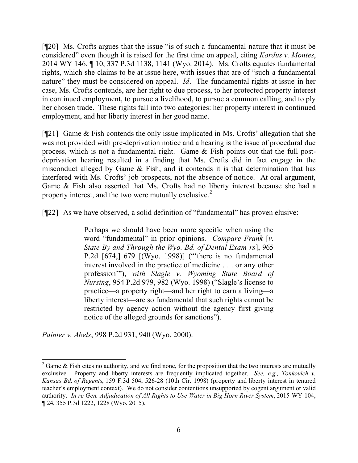[¶20] Ms. Crofts argues that the issue "is of such a fundamental nature that it must be considered" even though it is raised for the first time on appeal, citing *Kordus v. Montes*, 2014 WY 146, ¶ 10, 337 P.3d 1138, 1141 (Wyo. 2014). Ms. Crofts equates fundamental rights, which she claims to be at issue here, with issues that are of "such a fundamental nature" they must be considered on appeal. *Id*. The fundamental rights at issue in her case, Ms. Crofts contends, are her right to due process, to her protected property interest in continued employment, to pursue a livelihood, to pursue a common calling, and to ply her chosen trade. These rights fall into two categories: her property interest in continued employment, and her liberty interest in her good name.

[¶21] Game & Fish contends the only issue implicated in Ms. Crofts' allegation that she was not provided with pre-deprivation notice and a hearing is the issue of procedural due process, which is not a fundamental right. Game & Fish points out that the full postdeprivation hearing resulted in a finding that Ms. Crofts did in fact engage in the misconduct alleged by Game  $\&$  Fish, and it contends it is that determination that has interfered with Ms. Crofts' job prospects, not the absence of notice. At oral argument, Game & Fish also asserted that Ms. Crofts had no liberty interest because she had a property interest, and the two were mutually exclusive.<sup>2</sup>

[¶22] As we have observed, a solid definition of "fundamental" has proven elusive:

Perhaps we should have been more specific when using the word "fundamental" in prior opinions. *Compare Frank* [*v. State By and Through the Wyo. Bd. of Dental Exam'rs*], 965 P.2d [674,] 679 [(Wyo. 1998)] ("there is no fundamental interest involved in the practice of medicine . . . or any other profession'"), *with Slagle v. Wyoming State Board of Nursing*, 954 P.2d 979, 982 (Wyo. 1998) ("Slagle's license to practice—a property right—and her right to earn a living—a liberty interest—are so fundamental that such rights cannot be restricted by agency action without the agency first giving notice of the alleged grounds for sanctions").

*Painter v. Abels*, 998 P.2d 931, 940 (Wyo. 2000).

l

 $2$  Game & Fish cites no authority, and we find none, for the proposition that the two interests are mutually exclusive. Property and liberty interests are frequently implicated together. *See, e.g., Tonkovich v. Kansas Bd. of Regents*, 159 F.3d 504, 526-28 (10th Cir. 1998) (property and liberty interest in tenured teacher's employment context). We do not consider contentions unsupported by cogent argument or valid authority. *In re Gen. Adjudication of All Rights to Use Water in Big Horn River System*, 2015 WY 104, ¶ 24, 355 P.3d 1222, 1228 (Wyo. 2015).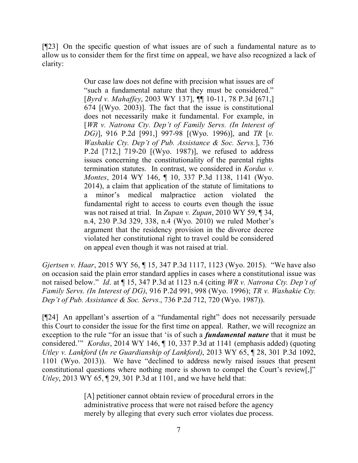[¶23] On the specific question of what issues are of such a fundamental nature as to allow us to consider them for the first time on appeal, we have also recognized a lack of clarity:

> Our case law does not define with precision what issues are of "such a fundamental nature that they must be considered." [*Byrd v. Mahaffey*, 2003 WY 137], ¶¶ 10-11, 78 P.3d [671,] 674 [(Wyo. 2003)]. The fact that the issue is constitutional does not necessarily make it fundamental. For example, in [*WR v. Natrona Cty. Dep't of Family Servs. (In Interest of DG)*], 916 P.2d [991,] 997-98 [(Wyo. 1996)], and *TR* [*v. Washakie Cty. Dep't of Pub. Assistance & Soc. Servs.*], 736 P.2d [712,] 719-20 [(Wyo. 1987)], we refused to address issues concerning the constitutionality of the parental rights termination statutes. In contrast, we considered in *Kordus v. Montes*, 2014 WY 146, ¶ 10, 337 P.3d 1138, 1141 (Wyo. 2014), a claim that application of the statute of limitations to a minor's medical malpractice action violated the fundamental right to access to courts even though the issue was not raised at trial. In *Zupan v. Zupan*, 2010 WY 59, ¶ 34, n.4, 230 P.3d 329, 338, n.4 (Wyo. 2010) we ruled Mother's argument that the residency provision in the divorce decree violated her constitutional right to travel could be considered on appeal even though it was not raised at trial.

*Gjertsen v. Haar*, 2015 WY 56, ¶ 15, 347 P.3d 1117, 1123 (Wyo. 2015). "We have also on occasion said the plain error standard applies in cases where a constitutional issue was not raised below." *Id*. at ¶ 15, 347 P.3d at 1123 n.4 (citing *WR v. Natrona Cty. Dep't of Family Servs. (In Interest of DG)*, 916 P.2d 991, 998 (Wyo. 1996); *TR v. Washakie Cty. Dep't of Pub. Assistance & Soc. Servs.*, 736 P.2d 712, 720 (Wyo. 1987)).

[¶24] An appellant's assertion of a "fundamental right" does not necessarily persuade this Court to consider the issue for the first time on appeal. Rather, we will recognize an exception to the rule "for an issue that 'is of such a *fundamental nature* that it must be considered.'" *Kordus*, 2014 WY 146, ¶ 10, 337 P.3d at 1141 (emphasis added) (quoting *Utley v. Lankford* (*In re Guardianship of Lankford)*, 2013 WY 65, ¶ 28, 301 P.3d 1092, 1101 (Wyo. 2013)). We have "declined to address newly raised issues that present constitutional questions where nothing more is shown to compel the Court's review[,]" *Utley*, 2013 WY 65,  $\sqrt{29}$ , 301 P.3d at 1101, and we have held that:

> [A] petitioner cannot obtain review of procedural errors in the administrative process that were not raised before the agency merely by alleging that every such error violates due process.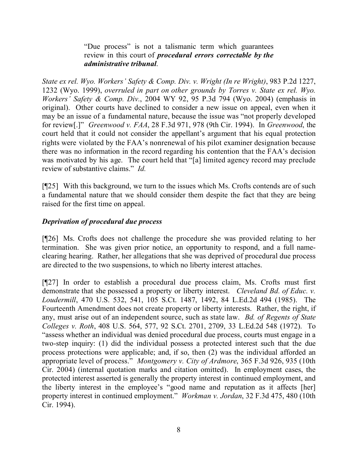"Due process" is not a talismanic term which guarantees review in this court of *procedural errors correctable by the administrative tribunal*.

*State ex rel. Wyo. Workers' Safety & Comp. Div. v. Wright (In re Wright)*, 983 P.2d 1227, 1232 (Wyo. 1999), *overruled in part on other grounds by Torres v. State ex rel. Wyo. Workers' Safety & Comp. Div.*, 2004 WY 92, 95 P.3d 794 (Wyo. 2004) (emphasis in original). Other courts have declined to consider a new issue on appeal, even when it may be an issue of a fundamental nature, because the issue was "not properly developed for review[.]" *Greenwood v. FAA*, 28 F.3d 971, 978 (9th Cir. 1994). In *Greenwood*, the court held that it could not consider the appellant's argument that his equal protection rights were violated by the FAA's nonrenewal of his pilot examiner designation because there was no information in the record regarding his contention that the FAA's decision was motivated by his age. The court held that "[a] limited agency record may preclude review of substantive claims." *Id.*

[¶25] With this background, we turn to the issues which Ms. Crofts contends are of such a fundamental nature that we should consider them despite the fact that they are being raised for the first time on appeal.

## *Deprivation of procedural due process*

[¶26] Ms. Crofts does not challenge the procedure she was provided relating to her termination. She was given prior notice, an opportunity to respond, and a full nameclearing hearing. Rather, her allegations that she was deprived of procedural due process are directed to the two suspensions, to which no liberty interest attaches.

[¶27] In order to establish a procedural due process claim, Ms. Crofts must first demonstrate that she possessed a property or liberty interest. *Cleveland Bd. of Educ. v. Loudermill*, 470 U.S. 532, 541, 105 S.Ct. 1487, 1492, 84 L.Ed.2d 494 (1985). The Fourteenth Amendment does not create property or liberty interests. Rather, the right, if any, must arise out of an independent source, such as state law. *Bd. of Regents of State Colleges v. Roth*, 408 U.S. 564, 577, 92 S.Ct. 2701, 2709, 33 L.Ed.2d 548 (1972). To "assess whether an individual was denied procedural due process, courts must engage in a two-step inquiry: (1) did the individual possess a protected interest such that the due process protections were applicable; and, if so, then (2) was the individual afforded an appropriate level of process." *Montgomery v. City of Ardmore*, 365 F.3d 926, 935 (10th Cir. 2004) (internal quotation marks and citation omitted). In employment cases, the protected interest asserted is generally the property interest in continued employment, and the liberty interest in the employee's "good name and reputation as it affects [her] property interest in continued employment." *Workman v. Jordan*, 32 F.3d 475, 480 (10th Cir. 1994).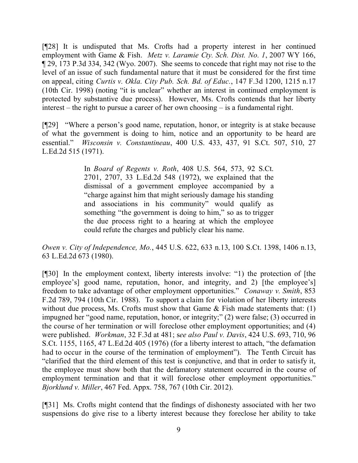[¶28] It is undisputed that Ms. Crofts had a property interest in her continued employment with Game & Fish. *Metz v. Laramie Cty. Sch. Dist. No. 1*, 2007 WY 166, ¶ 29, 173 P.3d 334, 342 (Wyo. 2007). She seems to concede that right may not rise to the level of an issue of such fundamental nature that it must be considered for the first time on appeal, citing *Curtis v. Okla. City Pub. Sch. Bd. of Educ.*, 147 F.3d 1200, 1215 n.17 (10th Cir. 1998) (noting "it is unclear" whether an interest in continued employment is protected by substantive due process). However, Ms. Crofts contends that her liberty interest – the right to pursue a career of her own choosing – is a fundamental right.

[¶29] "Where a person's good name, reputation, honor, or integrity is at stake because of what the government is doing to him, notice and an opportunity to be heard are essential." *Wisconsin v. Constantineau*, 400 U.S. 433, 437, 91 S.Ct. 507, 510, 27 L.Ed.2d 515 (1971).

> In *Board of Regents v. Roth*, 408 U.S. 564, 573, 92 S.Ct. 2701, 2707, 33 L.Ed.2d 548 (1972), we explained that the dismissal of a government employee accompanied by a "charge against him that might seriously damage his standing and associations in his community" would qualify as something "the government is doing to him," so as to trigger the due process right to a hearing at which the employee could refute the charges and publicly clear his name.

*Owen v. City of Independence, Mo.*, 445 U.S. 622, 633 n.13, 100 S.Ct. 1398, 1406 n.13, 63 L.Ed.2d 673 (1980).

[¶30] In the employment context, liberty interests involve: "1) the protection of [the employee's good name, reputation, honor, and integrity, and 2) [the employee's] freedom to take advantage of other employment opportunities." *Conaway v. Smith*, 853 F.2d 789, 794 (10th Cir. 1988). To support a claim for violation of her liberty interests without due process, Ms. Crofts must show that Game  $\&$  Fish made statements that: (1) impugned her "good name, reputation, honor, or integrity;" (2) were false; (3) occurred in the course of her termination or will foreclose other employment opportunities; and (4) were published. *Workman*, 32 F.3d at 481; s*ee also Paul v. Davis*, 424 U.S. 693, 710, 96 S.Ct. 1155, 1165, 47 L.Ed.2d 405 (1976) (for a liberty interest to attach, "the defamation had to occur in the course of the termination of employment"). The Tenth Circuit has "clarified that the third element of this test is conjunctive, and that in order to satisfy it, the employee must show both that the defamatory statement occurred in the course of employment termination and that it will foreclose other employment opportunities." *Bjorklund v. Miller*, 467 Fed. Appx. 758, 767 (10th Cir. 2012).

[¶31] Ms. Crofts might contend that the findings of dishonesty associated with her two suspensions do give rise to a liberty interest because they foreclose her ability to take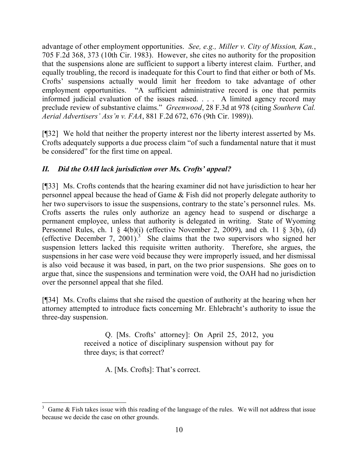advantage of other employment opportunities. *See, e.g., Miller v. City of Mission, Kan.*, 705 F.2d 368, 373 (10th Cir. 1983). However, she cites no authority for the proposition that the suspensions alone are sufficient to support a liberty interest claim. Further, and equally troubling, the record is inadequate for this Court to find that either or both of Ms. Crofts' suspensions actually would limit her freedom to take advantage of other employment opportunities. "A sufficient administrative record is one that permits informed judicial evaluation of the issues raised. . . . A limited agency record may preclude review of substantive claims." *Greenwood*, 28 F.3d at 978 (citing *Southern Cal. Aerial Advertisers' Ass'n v. FAA*, 881 F.2d 672, 676 (9th Cir. 1989)).

[¶32] We hold that neither the property interest nor the liberty interest asserted by Ms. Crofts adequately supports a due process claim "of such a fundamental nature that it must be considered" for the first time on appeal.

# *II. Did the OAH lack jurisdiction over Ms. Crofts' appeal?*

[¶33] Ms. Crofts contends that the hearing examiner did not have jurisdiction to hear her personnel appeal because the head of Game & Fish did not properly delegate authority to her two supervisors to issue the suspensions, contrary to the state's personnel rules. Ms. Crofts asserts the rules only authorize an agency head to suspend or discharge a permanent employee, unless that authority is delegated in writing. State of Wyoming Personnel Rules, ch. 1 § 4(b)(i) (effective November 2, 2009), and ch. 11 § 3(b), (d) (effective December 7, 2001).<sup>3</sup> She claims that the two supervisors who signed her suspension letters lacked this requisite written authority. Therefore, she argues, the suspensions in her case were void because they were improperly issued, and her dismissal is also void because it was based, in part, on the two prior suspensions. She goes on to argue that, since the suspensions and termination were void, the OAH had no jurisdiction over the personnel appeal that she filed.

[¶34] Ms. Crofts claims that she raised the question of authority at the hearing when her attorney attempted to introduce facts concerning Mr. Ehlebracht's authority to issue the three-day suspension.

> Q. [Ms. Crofts' attorney]: On April 25, 2012, you received a notice of disciplinary suspension without pay for three days; is that correct?

> > A. [Ms. Crofts]: That's correct.

 $\overline{a}$ 

 $3$  Game  $\&$  Fish takes issue with this reading of the language of the rules. We will not address that issue because we decide the case on other grounds.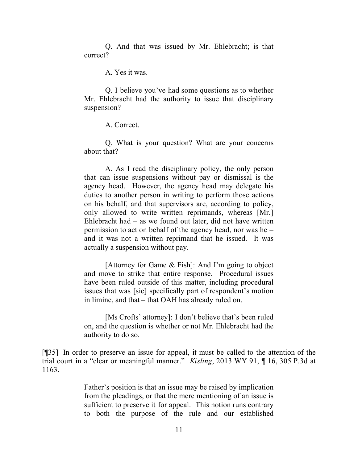Q. And that was issued by Mr. Ehlebracht; is that correct?

A. Yes it was.

Q. I believe you've had some questions as to whether Mr. Ehlebracht had the authority to issue that disciplinary suspension?

A. Correct.

Q. What is your question? What are your concerns about that?

A. As I read the disciplinary policy, the only person that can issue suspensions without pay or dismissal is the agency head. However, the agency head may delegate his duties to another person in writing to perform those actions on his behalf, and that supervisors are, according to policy, only allowed to write written reprimands, whereas [Mr.] Ehlebracht had – as we found out later, did not have written permission to act on behalf of the agency head, nor was he – and it was not a written reprimand that he issued. It was actually a suspension without pay.

[Attorney for Game & Fish]: And I'm going to object and move to strike that entire response. Procedural issues have been ruled outside of this matter, including procedural issues that was [sic] specifically part of respondent's motion in limine, and that – that OAH has already ruled on.

[Ms Crofts' attorney]: I don't believe that's been ruled on, and the question is whether or not Mr. Ehlebracht had the authority to do so.

[¶35] In order to preserve an issue for appeal, it must be called to the attention of the trial court in a "clear or meaningful manner." *Kisling*, 2013 WY 91, ¶ 16, 305 P.3d at 1163.

> Father's position is that an issue may be raised by implication from the pleadings, or that the mere mentioning of an issue is sufficient to preserve it for appeal. This notion runs contrary to both the purpose of the rule and our established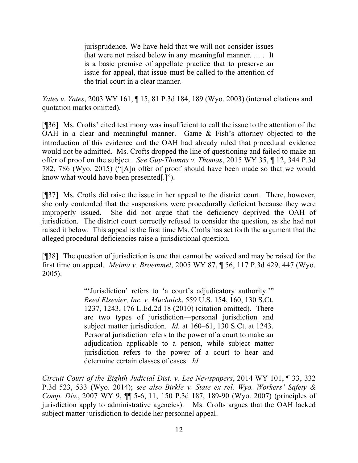jurisprudence. We have held that we will not consider issues that were not raised below in any meaningful manner. . . . It is a basic premise of appellate practice that to preserve an issue for appeal, that issue must be called to the attention of the trial court in a clear manner.

*Yates v. Yates*, 2003 WY 161, ¶ 15, 81 P.3d 184, 189 (Wyo. 2003) (internal citations and quotation marks omitted).

[¶36] Ms. Crofts' cited testimony was insufficient to call the issue to the attention of the OAH in a clear and meaningful manner. Game & Fish's attorney objected to the introduction of this evidence and the OAH had already ruled that procedural evidence would not be admitted. Ms. Crofts dropped the line of questioning and failed to make an offer of proof on the subject. *See Guy-Thomas v. Thomas*, 2015 WY 35, ¶ 12, 344 P.3d 782, 786 (Wyo. 2015) ("[A]n offer of proof should have been made so that we would know what would have been presented[.]").

[¶37] Ms. Crofts did raise the issue in her appeal to the district court. There, however, she only contended that the suspensions were procedurally deficient because they were improperly issued. She did not argue that the deficiency deprived the OAH of jurisdiction. The district court correctly refused to consider the question, as she had not raised it below. This appeal is the first time Ms. Crofts has set forth the argument that the alleged procedural deficiencies raise a jurisdictional question.

[¶38] The question of jurisdiction is one that cannot be waived and may be raised for the first time on appeal. *Meima v. Broemmel*, 2005 WY 87, ¶ 56, 117 P.3d 429, 447 (Wyo. 2005).

> "'Jurisdiction' refers to 'a court's adjudicatory authority.'" *Reed Elsevier, Inc. v. Muchnick*, 559 U.S. 154, 160, 130 S.Ct. 1237, 1243, 176 L.Ed.2d 18 (2010) (citation omitted). There are two types of jurisdiction—personal jurisdiction and subject matter jurisdiction. *Id.* at 160–61, 130 S.Ct. at 1243. Personal jurisdiction refers to the power of a court to make an adjudication applicable to a person, while subject matter jurisdiction refers to the power of a court to hear and determine certain classes of cases. *Id.*

*Circuit Court of the Eighth Judicial Dist. v. Lee Newspapers*, 2014 WY 101, ¶ 33, 332 P.3d 523, 533 (Wyo. 2014); s*ee also Birkle v. State ex rel. Wyo. Workers' Safety & Comp. Div.*, 2007 WY 9, ¶¶ 5-6, 11, 150 P.3d 187, 189-90 (Wyo. 2007) (principles of jurisdiction apply to administrative agencies). Ms. Crofts argues that the OAH lacked subject matter jurisdiction to decide her personnel appeal.